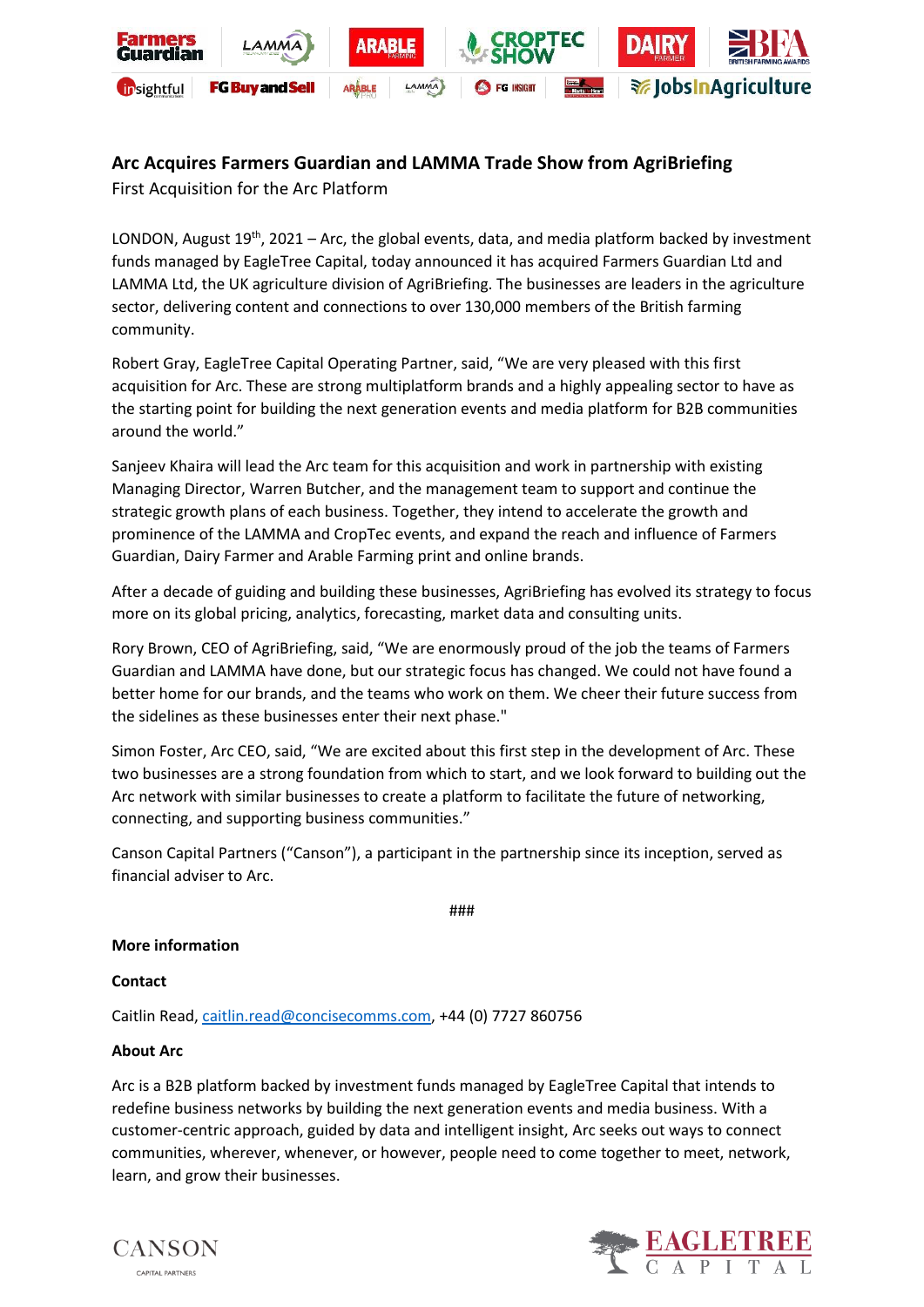

# **Arc Acquires Farmers Guardian and LAMMA Trade Show from AgriBriefing**

First Acquisition for the Arc Platform

LONDON, August  $19<sup>th</sup>$ , 2021 – Arc, the global events, data, and media platform backed by investment funds managed by EagleTree Capital, today announced it has acquired Farmers Guardian Ltd and LAMMA Ltd, the UK agriculture division of AgriBriefing. The businesses are leaders in the agriculture sector, delivering content and connections to over 130,000 members of the British farming community.

Robert Gray, EagleTree Capital Operating Partner, said, "We are very pleased with this first acquisition for Arc. These are strong multiplatform brands and a highly appealing sector to have as the starting point for building the next generation events and media platform for B2B communities around the world."

Sanjeev Khaira will lead the Arc team for this acquisition and work in partnership with existing Managing Director, Warren Butcher, and the management team to support and continue the strategic growth plans of each business. Together, they intend to accelerate the growth and prominence of the LAMMA and CropTec events, and expand the reach and influence of Farmers Guardian, Dairy Farmer and Arable Farming print and online brands.

After a decade of guiding and building these businesses, AgriBriefing has evolved its strategy to focus more on its global pricing, analytics, forecasting, market data and consulting units.

Rory Brown, CEO of AgriBriefing, said, "We are enormously proud of the job the teams of Farmers Guardian and LAMMA have done, but our strategic focus has changed. We could not have found a better home for our brands, and the teams who work on them. We cheer their future success from the sidelines as these businesses enter their next phase."

Simon Foster, Arc CEO, said, "We are excited about this first step in the development of Arc. These two businesses are a strong foundation from which to start, and we look forward to building out the Arc network with similar businesses to create a platform to facilitate the future of networking, connecting, and supporting business communities."

Canson Capital Partners ("Canson"), a participant in the partnership since its inception, served as financial adviser to Arc.

###

## **More information**

## **Contact**

Caitlin Read[, caitlin.read@concisecomms.com,](mailto:caitlin.read@concisecomms.com) +44 (0) 7727 860756

## **About Arc**

Arc is a B2B platform backed by investment funds managed by EagleTree Capital that intends to redefine business networks by building the next generation events and media business. With a customer-centric approach, guided by data and intelligent insight, Arc seeks out ways to connect communities, wherever, whenever, or however, people need to come together to meet, network, learn, and grow their businesses.